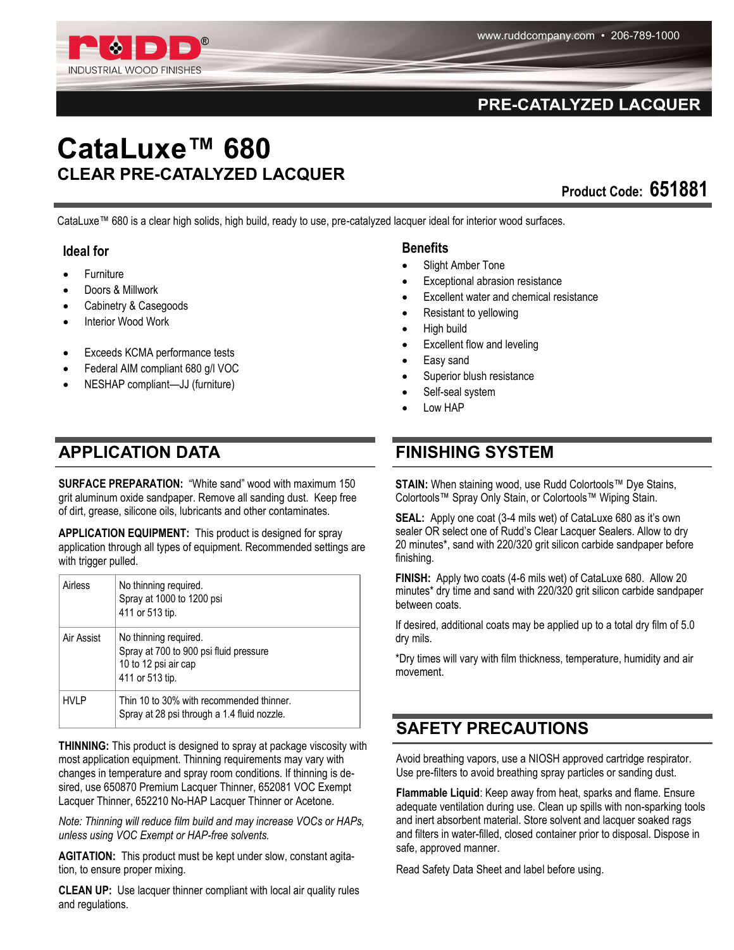### PRE-CATALYZED LACQUER

# **CataLuxe™ 680 CLEAR PRE-CATALYZED LACQUER**

**Product Code: 651881** 

CataLuxe™ 680 is a clear high solids, high build, ready to use, pre-catalyzed lacquer ideal for interior wood surfaces.

### **Ideal for**

- Furniture
- Doors & Millwork
- Cabinetry & Casegoods
- Interior Wood Work
- Exceeds KCMA performance tests
- Federal AIM compliant 680 g/l VOC
- NESHAP compliant—JJ (furniture)

## **APPLICATION DATA FINISHING SYSTEM**

**SURFACE PREPARATION:** "White sand" wood with maximum 150 grit aluminum oxide sandpaper. Remove all sanding dust. Keep free of dirt, grease, silicone oils, lubricants and other contaminates.

**APPLICATION EQUIPMENT:** This product is designed for spray application through all types of equipment. Recommended settings are with trigger pulled.

|  | Airless     | No thinning required.<br>Spray at 1000 to 1200 psi<br>411 or 513 tip.                                      |
|--|-------------|------------------------------------------------------------------------------------------------------------|
|  | Air Assist  | No thinning required.<br>Spray at 700 to 900 psi fluid pressure<br>10 to 12 psi air cap<br>411 or 513 tip. |
|  | <b>HVLP</b> | Thin 10 to 30% with recommended thinner.<br>Spray at 28 psi through a 1.4 fluid nozzle.                    |

**THINNING:** This product is designed to spray at package viscosity with most application equipment. Thinning requirements may vary with changes in temperature and spray room conditions. If thinning is desired, use 650870 Premium Lacquer Thinner, 652081 VOC Exempt Lacquer Thinner, 652210 No-HAP Lacquer Thinner or Acetone.

*Note: Thinning will reduce film build and may increase VOCs or HAPs, unless using VOC Exempt or HAP-free solvents.*

**AGITATION:** This product must be kept under slow, constant agitation, to ensure proper mixing.

**CLEAN UP:** Use lacquer thinner compliant with local air quality rules and regulations.

### **Benefits**

- Slight Amber Tone
- Exceptional abrasion resistance
- Excellent water and chemical resistance
- Resistant to yellowing
- High build
- Excellent flow and leveling
- Easy sand
- Superior blush resistance
- Self-seal system
- Low HAP

**STAIN:** When staining wood, use Rudd Colortools™ Dye Stains, Colortools™ Spray Only Stain, or Colortools™ Wiping Stain.

**SEAL:** Apply one coat (3-4 mils wet) of CataLuxe 680 as it's own sealer OR select one of Rudd's Clear Lacquer Sealers. Allow to dry 20 minutes\*, sand with 220/320 grit silicon carbide sandpaper before finishing.

**FINISH:** Apply two coats (4-6 mils wet) of CataLuxe 680. Allow 20 minutes\* dry time and sand with 220/320 grit silicon carbide sandpaper between coats.

If desired, additional coats may be applied up to a total dry film of 5.0 dry mils.

\*Dry times will vary with film thickness, temperature, humidity and air movement.

### **SAFETY PRECAUTIONS**

Avoid breathing vapors, use a NIOSH approved cartridge respirator. Use pre-filters to avoid breathing spray particles or sanding dust.

**Flammable Liquid**: Keep away from heat, sparks and flame. Ensure adequate ventilation during use. Clean up spills with non-sparking tools and inert absorbent material. Store solvent and lacquer soaked rags and filters in water-filled, closed container prior to disposal. Dispose in safe, approved manner.

Read Safety Data Sheet and label before using.